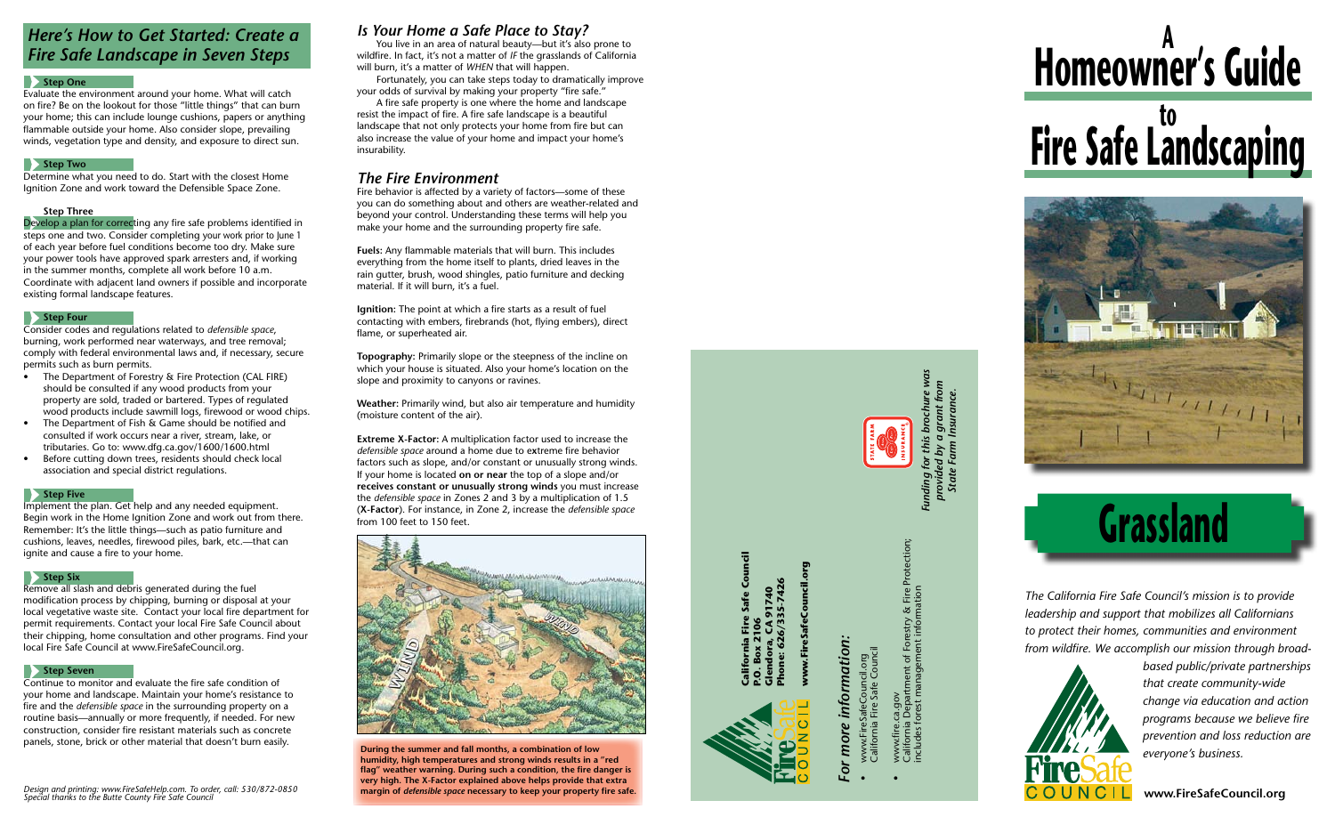## **Grassland**

**www.FireSafeCouncil.org**

*The California Fire Safe Council's mission is to provide leadership and support that mobilizes all Californians to protect their homes, communities and environment from wildfire. We accomplish our mission through broad-*



## *For more information:* information more

- www.FireSafeCouncil.org<br>California Fire Safe Council California Fire Safe Council • www.FireSafeCouncil.org
- California Department of Forestry & Fire Protection; Protection artment of Forestry & Fire<br>management information includes forest management information www.fire.ca.gov<br>California Departı<br>includes forest ma • www.fire.ca.gov



ww.FireSafeCouncil.org **www.FireSafeCouncil.org**

*based public/private partnerships that create community-wide change via education and action programs because we believe fire prevention and loss reduction are everyone's business.*

**California Fire Safe Council** ra, CA 91740<br>626/335-7426 **P.O. Box 2106**



**Glendora, CA 91740 Phone: 626/335-7426**

#### *Here's How to Get Started: Create a Fire Safe Landscape in Seven Steps*

#### **B** Step One

Evaluate the environment around your home. What will catch on fire? Be on the lookout for those "little things" that can burn your home; this can include lounge cushions, papers or anything flammable outside your home. Also consider slope, prevailing winds, vegetation type and density, and exposure to direct sun.

#### **B** Step Two

- **•** The Department of Forestry & Fire Protection (CAL FIRE) should be consulted if any wood products from your property are sold, traded or bartered. Types of regulated wood products include sawmill logs, firewood or wood chips.
- The Department of Fish & Game should be notified and consulted if work occurs near a river, stream, lake, or tributaries. Go to: www.dfg.ca.gov/1600/1600.html
- Before cutting down trees, residents should check local association and special district regulations.

#### **Step Five**

Determine what you need to do. Start with the closest Home Ignition Zone and work toward the Defensible Space Zone.

#### **Step Three**

Develop a plan for correcting any fire safe problems identified in steps one and two. Consider completing your work prior to June 1 of each year before fuel conditions become too dry. Make sure your power tools have approved spark arresters and, if working in the summer months, complete all work before 10 a.m. Coordinate with adjacent land owners if possible and incorporate existing formal landscape features.

#### **Step Four**

Consider codes and regulations related to *defensible space*, burning, work performed near waterways, and tree removal; comply with federal environmental laws and, if necessary, secure permits such as burn permits.

Implement the plan. Get help and any needed equipment. Begin work in the Home Ignition Zone and work out from there. Remember: It's the little things—such as patio furniture and cushions, leaves, needles, firewood piles, bark, etc.—that can ignite and cause a fire to your home.

#### **Step Six**

**Extreme X-Factor:** A multiplication factor used to increase the *defensible space* around a home due to e **x**treme fire behavior factors such as slope, and/or constant or unusually strong winds. If your home is located **on or near** the top of a slope and/or **receives constant or unusually strong winds** you must increase the *defensible space* in Zones 2 and 3 by a multiplication of 1.5 (**X-Factor**). For instance, in Zone 2, increase the *defensible space* from 100 feet to 150 feet.



Remove all slash and debris generated during the fuel modification process by chipping, burning or disposal at your local vegetative waste site. Contact your local fire department for permit requirements. Contact your local Fire Safe Council about their chipping, home consultation and other programs. Find your local Fire Safe Council at www.FireSafeCouncil.org.

#### **Step Seven**

Continue to monitor and evaluate the fire safe condition of your home and landscape. Maintain your home's resistance to fire and the *defensible space* in the surrounding property on a routine basis—annually or more frequently, if needed. For new construction, consider fire resistant materials such as concrete panels, stone, brick or other material that doesn't burn easily.

*Design and printing: www.FireSafeHelp.com. To order, call: 530/872-0850 Special thanks to the Butte County Fire Safe Council*

#### *Is Your Home a Safe Place to Stay?*

You live in an area of natural beauty—but it's also prone to wildfire. In fact, it's not a matter of *i f* the grasslands of California will burn, it's a matter of *when* that will happen.

Fortunately, you can take steps today to dramatically improve your odds of survival by making your property "fire safe."

A fire safe property is one where the home and landscape resist the impact of fire. A fire safe landscape is a beautiful landscape that not only protects your home from fire but can also increase the value of your home and impact your home's insurability.

#### *The Fire Environment*

Fire behavior is affected by a variety of factors—some of these you can do something about and others are weather-related and beyond your control. Understanding these terms will help you make your home and the surrounding property fire safe.

**Fuels:** Any flammable materials that will burn. This includes everything from the home itself to plants, dried leaves in the rain gutter, brush, wood shingles, patio furniture and decking material. If it will burn, it's a fuel.

**Ignition:** The point at which a fire starts as a result of fuel contacting with embers, firebrands (hot, flying embers), direct flame, or superheated air.

**Topography:** Primarily slope or the steepness of the incline on which your house is situated. Also your home's location on the slope and proximity to canyons or ravines.

**Weather:** Primarily wind, but also air temperature and humidity (moisture content of the air).

**During the summer and fall months, a combination of low humidity, high temperatures and strong winds results in a "red flag" weather warning. During such a condition, the fire danger is very high. The X-Factor explained above helps provide that extra margin of** *defensible space* **necessary to keep your property fire safe.** *Funding for this brochure was provided by a grant from State Farm Insurance.*

# **Homeowner's Guide <sup>A</sup> Fire Safe Landscaping**